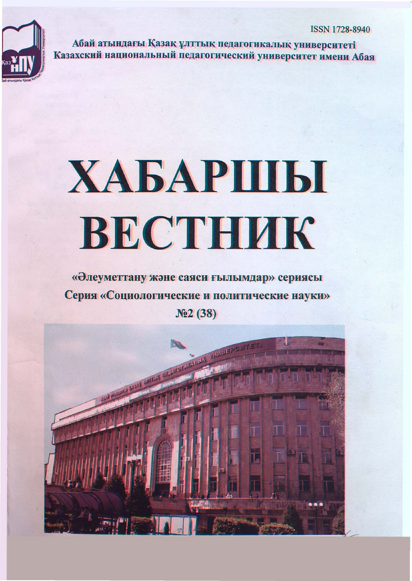

Абай атындағы Қазақ ұлттық педагогикалық университеті Казахский национальный педагогический университет имени Абая

# ХАБАРШЫ ВЕСТНИК

## «Элеуметтану және саяси ғылымдар» сериясы Серия «Социологические и политические науки»  $Ne2(38)$

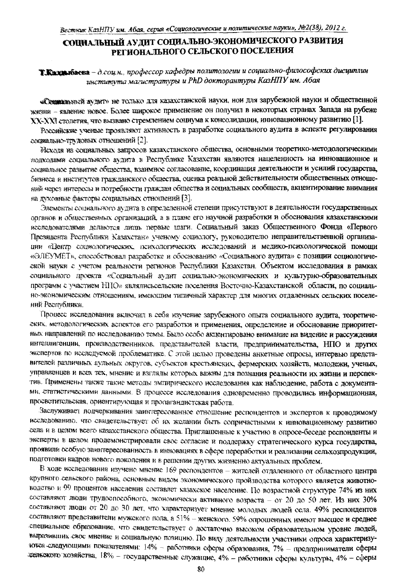### СОЦИАЛЬНЫЙ АУДИТ СОЦИАЛЬНО-ЭКОНОМИЧЕСКОГО РАЗВИТИЯ РЕГИОНАЛЬНОГО СЕЛЬСКОГО ПОСЕЛЕНИЯ

Т.Кащинбаева - д.соц.н., профессор кафедры политологии и социально-философских дисциплин института магистратуры и PhD докторантуры КазНПУ им. Абая

«Сощивальный аудит» не только для казахстанской науки, нои для зарубежной науки и общественной жизни - явление новое. Более широкое применение он получил в некоторых странах Запада на рубеже ХХ-ХХІ столетия, что вызвано стремлением социума к консолидации, инновационному развитию [1].

Российские ученые проявляют активность в разработке социального аудита в аспекте регулирования социально-трудовых отношений [2].

Исходя из социальных запросов казахстанского общества, основными теоретико-методологическими подходами социального аудита в Республике Казахстан являются нацеленность на инновационное и социальное развитие общества, взаимное согласование, координация деятельности и усилий государства, бизнеса и институтов гражданского общества, оценка реальной действительности общественных отношений через интересы и потребности граждан общества и социальных сообществ, акцентирование внимания на духовные факторы социальных отношений [3].

Элементы социального аудита в определенной степени присутствуют в деятельности государственных органов и общественных организаций, а в плане его научной разработки и обоснования казахстанскими исследователями делаются лицъ первые шаги. Социальный заказ Общественного Фонда «Первого Президента Республики Казахстан» ученому социологу, руководителю неправительственной организации «Центр социологических психологических исследований и медико-психологической помощи «ЭЛЕУМЕТ», способствовал разработке и обоснованию «Социального аудита» с позиции социологической науки с учетом реальности регионов Республики Казахстан. Объектом исследования в рамках социального проекта «Социальный аудит социально-экономических и культурно-образовательных программ с участием H11O» являлись сельские поселения Восточно-Казахстанской области, по социально-экономическим отношениям, имеющим типичный характер для многих отдаленных сельских поселений Республики.

Процесс исследования включил в себя изучение зарубежного опыта социального аудита, теоретических, методологических аспектов его разработки и применения, определение и обоснование приоритетных направлений по исследованию темы. Было особо акцентировано внимание на видение и рассуждения интеллигенции, производственников, представителей власти, предпринимательства, НПО и других экспертов по исследуемой проблематике. С этой целью проведены анкетные опросы, интервью представителей различных аульных округов, субъектов крестьянских, фермерских хозяйств, молодежи, ученых, управленцев и всех тех, мнение и взгляды которых важны для познания реальности их жизни и перспектив. Применены также такие методы эмпирического исследования как наблюдение, работа с документами, статистическими данными. В процессе исследования одновременно проводились информационная, просветительская, ориентирующая и пропагандистская работа.

Заслуживает подчеркивания заинтересованное отношение респондентов и экспертов к проводимому исследованию, что свидетельствует об их желании быть сопричастными к инновационному развитию села и в целом всего казахстанского общества. Приглашенные к участию в опросе-беседе респонденты и эксперты в целом продемонстрировали свое согласие и поддержку стратегического курса государства, проявили особую заинтересованность в инновациях в сфере переработки и реализации сельхозпродукции, подготовки кадров нового поколения и в решении других жизненно актуальных проблем.

В ходе исследования изучено мнение 169 респондентов - жителей отдаленного от областного центра крупного сельского района, основным видом экономического пройзводства которого является животноводство и 99 процентов населения составлет казахское население. По возрастной структуре 74% из них составляют люди трудоспособного, экономически активного возраста - от 20 до 50 лет. Из них 30% составляют люди от 20 до 30 лет, что характеризует мнение молодых людей села. 49% респондентов составляют представители мужского пола, а 51% - женского. 59% опрошенных имеют высшее и среднее специальное образование, что свидетельствует о достаточно высоком образовательном уровне людей, выразивших свое мнение и социальную позицию. По виду деятельности участники опроса характеризунотся следующими показателями:  $14\%$  - работники сферы образования,  $7\%$  - предприниматели сферы сельского хозяйства, 18% - государственные служащие, 4% - работники сферы культуры, 4% - сферы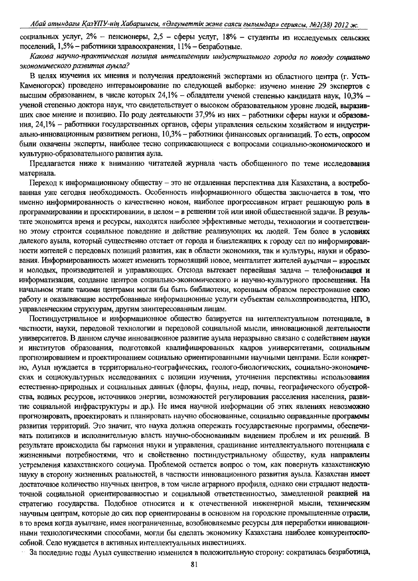социальных услуг, 2% - пенсионеры, 2,5 - сферы услуг, 18% - студенты из исследуемых сельских поселений, 1,5% - работники здравоохранения, 11% - безработные.

Какова научно-практическая позиция интеллигенции индустриального города по поводу социально экономического развития ауыла?

В целях изучения их мнения и получения предложений экспертами из областного центра (г. Усть-Каменогорск) проведено интервьюирование по следующей выборке: изучено мнение 29 экспертов с высшим образованием, в числе которых 24,1% - обладатели ученой степенью кандидата наук, 10,3% ученой степенью доктора наук, что свидетельствует о высоком образовательном уровне людей, выразивших свое мнение и позицию. По роду деятельности 37,9% из них - работники сферы науки и образования, 24,1% - работники государственных органов, сферы управления сельским хозяйством и индустриально-инновационным развитием региона, 10,3% – работники финансовых организаций. То есть, опросом были охвачены эксперты, наиболее тесно соприкасающиеся с вопросами социально-экономического и культурно-образовательного развития аула.

Предлагается ниже к вниманию читателей журнала часть обобщенного по теме исследования материала.

Переход к информационному обществу - это не отдаленная перспектива для Казахстана, а востребованная уже сегодня необходимость. Особенность информационного общества заключается в том, что именно информированность о качественно новом, наиболее прогрессивном играет решающую роль в программировании и проектировании, в целом - в решении той или иной общественной задачи. В результате экономится время и ресурсы, находятся наиболее эффективные методы, технологии и соответственно этому строится социальное поведение и действие реализующих их людей. Тем более в условиях далекого ауыла, который существенно отстает от города и близлежащих к городу сел по информированности жителей с передовых позиций развития, как в области экономики, так и культуры, науки и образования. Информированность может изменить тормозящий новое, менталитет жителей ауылчан - взрослых и молодых, производителей и управляющих. Отсюда вытекает первейшая задача - телефонизация и информатизация, создание центров социально-экономического и научно-культурного просвещения. На начальном этапе такими центрами могли бы быть библиотеки, коренным образом перестроившие свою работу и оказывающие востребованные информационные услуги субъектам сельхозпроизводства, НПО, управленческим структурам, другим заинтересованным лицам.

Постиндустриальное и информационное общество базируется на интеллектуальном потенциале, в частности, науки, передовой технологии и передовой социальной мысли, инновационной деятельности университетов. В данном случае инновационное развитие ауыла неразрывно связано с содействием науки и институтов образования, подготовкой квалифицированных кадров университетами, социальным прогнозированием и проектированием социально ориентированными научными центрами. Если конкретно, Ауыл нуждается в территориально-географических, геолого-биологических, социально-экономических и социокультурных исследованиях с позиции изучения, уточнения перспективы использования естественно-природных и социальных данных (флоры, фауны, недр, почвы, географического обустройства, водных ресурсов, источников энергии, возможностей регулирования расселения населения, развитие социальной инфраструктуры и др.). Не имея научной информации об этих явлениях невозможно прогнозировать, проектировать и планировать научно обоснованные, социально оправданные программы развития территорий. Это значит, что наука должна опережать государственные программы, обеспечивать политиков и исполнительную власть научно-обоснованным видением проблем и их решений. В результате происходила бы гармония науки и управления, сращивание интеллектуального потенциала с жизненными потребностями, что и свойственно постиндустриальному обществу, куда направлены устремления казахстанского социума. Проблемой остается вопрос о том, как повернуть казахстанскую науку в сторону жизненных реальностей, в частности инновационного развития ауыла. Казахстан имеет достаточное количество научных центров, в том числе аграрного профиля, однако они страдают недостаточной социальной ориентированностью и социальной ответственностью, замедленной реакцией на стратегию государства. Подобное относится и к отечественной инженерной мысли, техническим научным центрам, которые до сих пор ориентированы в основном на городские промышленные отрасли, в то время когда ауылчане, имея неограниченные, возобновляемые ресурсы для переработки инновационными технологическими способами, могли бы сделать экономику Казахстана наиболее конкурентоспособной. Село нуждается в активных интеллектуальных инвестициях.

За последние годы Ауыл существенно изменился в положительную сторону: сократилась безработица,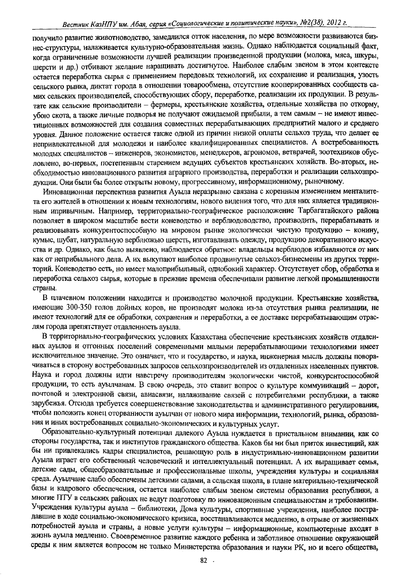получило развитие животноводство, замедлился отток населения, по мере возможности развиваются бизнес-структуры, налаживается культурно-образовательная жизнь. Однако наблюдается социальный факт. когда ограниченные возможности лучшей реализации произведенной продукции (молока, мяса, шкуры. шерсти и др.) отбивают желание наращивать достигнутое. Наиболее слабым звеном в этом контексте остается переработка сырья с применением передовых технологий, их сохранение и реализация, узость сельского рынка, диктат города в отношении товарообмена, отсутствие кооперированных сообществ самих сельских производителей, способствующих сбору, переработке, реализации их продукции. В результате как сельские производители – фермеры, крестьянские хозяйства, отдельные хозяйства по откорму, убою скота, а также личные подворья не получают ожидаемой прибыли, а тем самым - не имеют инвестиционных возможностей для создания совместных перерабатывающих предприятий малого и среднего уровня. Данное положение остается также одной из причин низкой оплаты сельхоз труда, что делает ее непривлекательной для молодежи и наиболее квалифицированных специалистов. А востребованность молодых специалистов - инженеров, экономистов, менеджеров, агрономов, ветврачей, зоотехников обусловлено, во-первых, постепенным старением ведущих субъектов крестьянских хозяйств. Во-вторых. необходимостью инновационного развития аграрного производства, переработки и реализации сельхозпродукции. Они были бы более открыты новому, прогрессивному, информационному, рыночному.

Инновационная перспектива развития Ауыла неразрывно связана с коренным изменением менталитета его жителей в отношении к новым технологиям, нового видения того, что для них является традиционным ипривычным. Например, территориально-географическое расположение Тарбагатайского района позволяет в широком масштабе вести коневодство и верблюдоводство, производить, перерабатывать и реализовывать конкурентоспособную на мировом рынке экологически чистую продукцию - конину, кумыс, шубат, натуральную верблюжью шерсть, изготавливать одежду, продукцию декоративного искусства и др. Однако, как было выявлено, наблюдается обратное: владельцы верблюдов избавляются от них как от неприбыльного дела. А их выкупают наиболее продвинутые сельхоз-бизнесмены из других территорий. Коневодство есть, но имеет малоприбыльный, однобокий характер. Отсутствует сбор, обработка и переработка сельхоз сырья, которые в прежние времена обеспечивали развитие легкой промышленности страны.

В плачевном положении находится и производство молочной продукции. Крестьянские хозяйства, имеющие 300-350 голов дойных коров, не производят молока из-за отсутствия рынка реализации, не имеют технологий для ее обработки, сохранения и переработки, а ее доставке перерабатывающим отраслям города препятствует отдаленность ауыла.

В территориально-географических условиях Казахстана обеспечение крестьянских хозяйств отдаленных ауылов и отгонных поселений современными малыми перерабатывающими технологиями имеет исключительное значение. Это означает, что и государство, и наука, инженерная мысль должны поворачиваться в сторону востребованных запросов сельхозпроизводителей из отдаленных населенных пунктов. Наука и город должны идти навстречу производителям экологически чистой, конкурентоспособной продукции, то есть ауылчанам. В свою очередь, это ставит вопрос о культуре коммуникаций - дорог, почтовой и электронной связи, авиасвязи, налаживание связей с потребителями республики, а также зарубежья. Отсюда требуется совершенствование законодательства и административного регулирования, чтобы положить конец оторванности ауылчан от нового мира информации, технологий, рынка, образования и иных востребованных социально-экономических и культурных услуг.

Образовательно-культурный потенциал далекого Ауыла нуждается в пристальном внимании, как со стороны государства, так и институтов гражданского общества. Каков бы ни был приток инвестиций, как бы ни привлекались кадры специалистов, решающую роль в индустриально-инновационном развитии Ауыла играет его собственный человеческий и интеллектуальный потенциал. А их выращивает семья, детские сады, общеобразовательные и профессиональные школы, учреждения культуры и социальная среда. Ауылчане слабо обеспечены детскими садами, а сельская школа, в плане материально-технической базы и кадрового обеспечения, остается наиболее слабым звеном системы образования республики, а многие ПТУ в сельских районах не ведут подготовку по инновационным специальностям и требованиям. Учреждения культуры ауыла - библиотеки, Дома культуры, спортивные учреждения, наиболее пострадавшие в ходе социально-экономического кризиса, восстанавливаются медленно, в отрыве от жизненных потребностей ауыла и страны, а новые услуги культуры - информационные, компьютерные входят в жизнь ауыла медленно. Своевременное развитие каждого ребенка и заботливое отношение окружающей среды к ним является вопросом не только Министерства образования и науки РК, но и всего общества,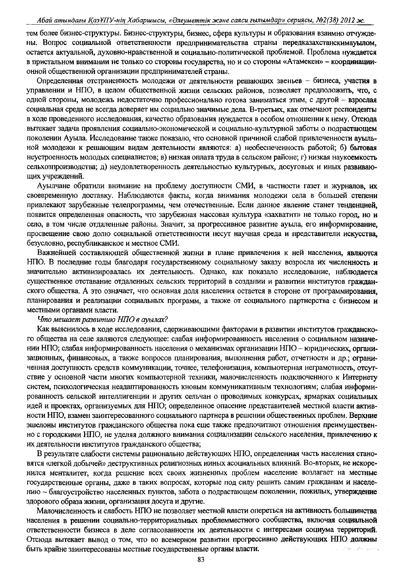#### Абай атындагы ҚазҰПУ-нің Хабаршысы, «Әлеуметтік және саяси ғылымдар» сериясы, №2(38) 2012 ж.

тем более бизнес-структуры. Бизнес-структуры, бизнес, сфера культуры и образования взаимно отчуждены. Вопрос социальной ответственности предпринимательства страны передказахстанскимауылом, остается актуальной, духовно-нравственной и социально-политической проблемой. Проблема нуждается в пристальном внимании не только со стороны государства, но и со стороны «Атамекен» - координациионной общественной организации предпринимателей страны.

Определенная отстраненность молодежи от деятельности решающих звеньев – бизнеса, участия в управлении и НПО, в целом общественной жизни сельских районов, позволяет предположить, что, с одной стороны, молодежь недостаточно профессионально готова заниматься этим, с другой - взрослая социальная среда не всегда доверяет им социально значимые дела. В-третьих, как отмечают респонденты в ходе проведенного исследования, качество образования нуждается в особом отношении к нему. Отсюда вытекает задача проявления социально-экономической и социально-культурной заботы о подрастающем поколении Ауыла. Исследование также показало, что основной причиной слабой привлеченности ауыльной молодежи к решающим видам деятельности являются: а) необеспеченность работой; б) бытовая неустроенность молодых специалистов; в) низкая оплата труда в сельском районе; г) низкая наукоемкость сельхозпроизводства; д) неудовлетворенность деятельностью культурных, досуговых и иных развивающих учреждений.

Ауылчане обратили внимание на проблему доступности СМИ, в частности газет и журналов, их своевременную доставку. Наблюдаются факты, когда внимания молодежи села в большей степени привлекают зарубежные телепрограммы, чем отечественные. Если данное явление станет тенденцией, появится определенная опасность, что зарубежная массовая культура «захватит» не только город, но и село, в том числе отдаленные районы. Значит, за прогрессивное развитие ауыла, его информирование, просвещение свою долю социальной ответственности несут научная среда и представители искусства. безусловно, республиканское и местное СМИ.

Важнейшей составляющей общественной жизни в плане привлечения к ней населения, являются НПО. В последние годы благодаря государственному социальному заказу возросла их численность и значительно активизировалась их деятельность. Однако, как показало исследование, наблюдается существенное отставание отдаленных сельских территорий в создании и развитии институтов гражданского общества. А это означает, что основная доля населения остается в стороне от программирования, планирования и реализации социальных программ, а также от социального партнерства с бизнесом и местными органами власти.

#### Что мешает развитию НПО в ауылах?

Как выяснилось в ходе исследования, сдерживающими факторами в развитии институтов гражданского общества на селе являются следующее: слабая информированность населения о социальном назначении НПО; слабая информированность населения о механизмах организации НПО - юридических, организационных, финансовых, а также вопросов планирования, выполнения работ, отчетности и др.; ограниченная доступность средств коммуникации, точнее, телефонизация, компьютерная неграмотность, отсутствие у основной части многих компьютерной техники, малочисленность подключенного к Интернету систем, психологическая неадаптированность кновым коммуникативным технологиям; слабая информированность сельской интеллигенции и других сельчан о проводимых конкурсах, ярмарках социальных идей и проектах, организуемых для НПО; определенное опасение представителей местной власти активности НПО, взамен заинтересованного социального партнера в решении общественных проблем. Верхние эшелоны институтов гражданского общества пока еще также предпочитают отношения преимущественно с городскими НПО, не уделяя должного внимания социализации сельского населения, привлечению к их деятельности институтов гражданского общества;

В результате слабости системы рационально действующих НПО, определенная часть населения становятся «легкой добычей» деструктивных религиозных ииных асоциальных влияний. Во-вторых, не искоренился менталитет, когда решение всех своих жизненных проблем население возлагает на местные государственные органы, даже в таких вопросах, которые под силу решить самим гражданам и населению - благоустройство населенных пунктов, забота о подрастающем поколении, пожилых, утверждение здорового образа жизни, организация досуга и другие.

Малочисленность и слабость НПО не позволяет местной власти опереться на активность большинства населения в решении социально-территориальных проблемместного сообщества, включая социальной ответственности бизнеса в деле согласованности их деятельности с интересами социума территорий. Отсюда вытекает вывод о том, что во всемерном развитии прогрессивно действующих НПО должны быть крайне заинтересованы местные государственные органы власти.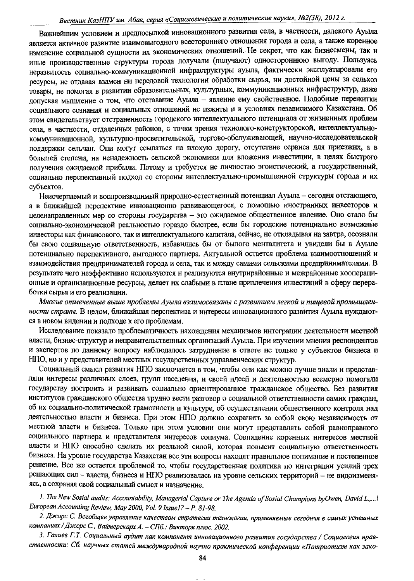Важнейшим условием и предпосылкой инновационного развития села, в частности, далекого Ауыла является активное развитие взаимовыгодного всестороннего отношения города и села, а также коренное изменение социальной сущности их экономических отношений. Не секрет, что как бизнесмены, так и иные производственные структуры города получали (получают) одностороннюю выгоду. Пользуясь неразвитость социально-коммуникационной инфраструктуры ауыла, фактически эксплуатировали его ресурсы, не отдавая взамен ни передовой технологии обработки сырья, ни достойной цены за сельхоз товары, не помогая в развитии образовательных, культурных, коммуникационных инфраструктур, даже допуская мышление о том, что отставание Ауыла - явление ему свойственное. Подобные пережитки социального сознания и социальных отношений не изжиты и в условиях независимого Казахстана. Об этом свидетельствует отстраненность городского интеллектуального потенциала от жизненных проблем села, в частности, отдаленных районов, с точки зрения технолого-конструкторской, интеллектуальнокоммуникационной, культурно-просветительской, торгово-обслуживающей, научно-исследовательской поддержки сельчан. Они могут ссылаться на плохую дорогу, отсутствие сервиса для приезжих, а в большей степени, на ненадежность сельской экономики для вложения инвестиции, в целях быстрого получения ожидаемой прибыли. Потому и требуется не личностно эгоистический, а государственный, социально перспективный подход со стороны интеллектуально-промышленной структуры города и их субъектов.

Неисчерпаемый и воспроизводимый природно-естественный потенциал Ауыла - сегодня отстающего, а в ближайшей перспективе инновационно развивающегося, с помощью иностранных инвесторов и целенаправленных мер со стороны государства - это ожидаемое общественное явление. Оно стало бы социально-экономической реальностью гораздо быстрее, если бы городские потенциально возможные инвесторы как финансового, так и интеллектуального капитала, сейчас, не откладывая на завтра, осознали бы свою социальную ответственность, избавились бы от былого менталитета и увидели бы в Ауыле потенциально перспективного, выгодного партнера. Актуальной остается проблема взаимоотношений и взаимодействия предпринимателей города и села, так и между самими сельскими предпринимателями. В результате чего неэффективно используются и реализуются внутрирайонные и межрайонные кооперационные и организационные ресурсы, делает их слабыми в плане привлечения инвестиций в сферу переработки сырья и его реализации.

Многие отмеченные выше проблемы Ауыла взаимосвязаны с развитием легкой и пищевой промышленности страны. В целом, ближайшая перспектива и интересы инновационного развития Ауыла нуждаются в новом видении и подходе к его проблемам.

Исследование показало проблематичность нахождения механизмов интеграции деятельности местной власти, бизнес-структур и неправительственных организаций Ауыла. При изучении мнения респондентов и экспертов по данному вопросу наблюдалось затруднение в ответе не только у субъектов бизнеса и НПО, но и у представителей местных государственных управленческих структур.

Социальный смысл развития НПО заключается в том, чтобы они как можно лучше знали и представляли интересы различных слоев, групп населения, и своей идеей и деятельностью всемерно помогали государству построить и развивать социально ориентированное гражданское общество. Без развития институтов гражданского общества трудно вести разговор о социальной ответственности самих граждан, об их социально-политической грамотности и культуре, об осуществлении общественного контроля над деятельностью власти и бизнеса. При этом НПО должно сохранить за собой свою независимость от местной власти и бизнеса. Только при этом условии они могут представлять собой равноправного социального партнера и представителя интересов социума. Совпадение коренных интересов местной власти и НПО способно сделать их реальной силой, которая повысит социальную ответственность бизнеса. На уровне государства Казахстан все эти вопросы находят правильное понимание и постепенное решение. Все же остается проблемой то, чтобы государственная политика по интеграции усилий трех решающих сил – власти, бизнеса и НПО реализовалась на уровне сельских территорий – не видоизменяясь, а сохраняя свой социальный смысл и назначение.

1. The New Sosial audits: Accountability, Managerial Capture or The Agenda of Sosial Champions byOwen, David L.,... European Accounting Review, May 2000, Vol. 9 Issue1? - P. 81-98.

2. Джорс С. Всеобщее управление качеством стратегии технологии, применяемые сегоднчя в самых успешных компаниях / Джорс С., Ваймерскарх А. - СПб.: Викторя плюс. 2002.

3. Галиев Г.Т. Социальный аудит как компонент инновационного развития государства / Социология нравственности: Сб. научных статей международной научно практической конференции «Патриотизм как зако